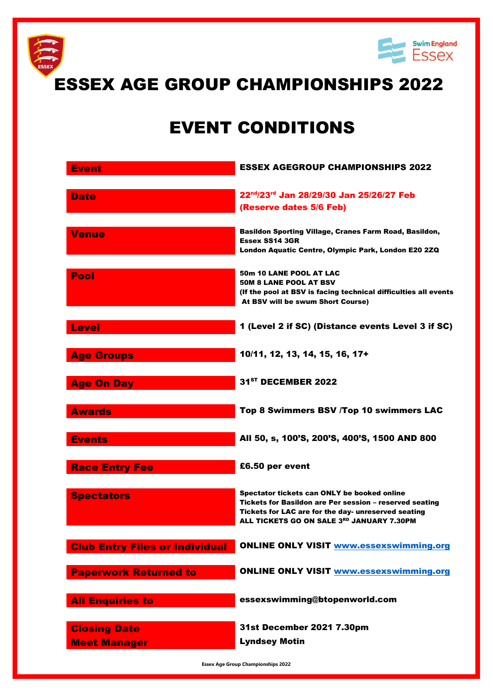

## EVENT CONDITIONS

| <b>Event</b>                               | <b>ESSEX AGEGROUP CHAMPIONSHIPS 2022</b>                                                                                                                                                                   |
|--------------------------------------------|------------------------------------------------------------------------------------------------------------------------------------------------------------------------------------------------------------|
| <b>Date</b>                                | 22nd/23rd Jan 28/29/30 Jan 25/26/27 Feb<br>(Reserve dates 5/6 Feb)                                                                                                                                         |
| <b>Venue</b>                               | Basildon Sporting Village, Cranes Farm Road, Basildon,<br><b>Essex SS14 3GR</b><br>London Aquatic Centre, Olympic Park, London E20 2ZQ                                                                     |
| Pool                                       | <b>50m 10 LANE POOL AT LAC</b><br><b>50M 8 LANE POOL AT BSV</b><br>(If the pool at BSV is facing technical difficulties all events<br>At BSV will be swum Short Course)                                    |
| <b>Level</b>                               | 1 (Level 2 if SC) (Distance events Level 3 if SC)                                                                                                                                                          |
| <b>Age Groups</b>                          | 10/11, 12, 13, 14, 15, 16, 17+                                                                                                                                                                             |
| <b>Age On Day</b>                          | 31 <sup>ST</sup> DECEMBER 2022                                                                                                                                                                             |
| <b>Awards</b>                              | Top 8 Swimmers BSV /Top 10 swimmers LAC                                                                                                                                                                    |
| <b>Events</b>                              | All 50, s, 100'S, 200'S, 400'S, 1500 AND 800                                                                                                                                                               |
| <b>Race Entry Fee</b>                      | £6.50 per event                                                                                                                                                                                            |
| <b>Spectators</b>                          | Spectator tickets can ONLY be booked online<br>Tickets for Basildon are Per session - reserved seating<br>Tickets for LAC are for the day- unreserved seating<br>ALL TICKETS GO ON SALE 3RD JANUARY 7.30PM |
| <b>Club Entry Files or Individual</b>      | <b>ONLINE ONLY VISIT www.essexswimming.org</b>                                                                                                                                                             |
| <b>Paperwork Returned to</b>               | <b>ONLINE ONLY VISIT www.essexswimming.org</b>                                                                                                                                                             |
| <b>All Enquiries to</b>                    | essexswimming@btopenworld.com                                                                                                                                                                              |
| <b>Closing Date</b><br><b>Meet Manager</b> | 31st December 2021 7.30pm<br><b>Lyndsey Motin</b>                                                                                                                                                          |

**Essex Age Group Championships 2022**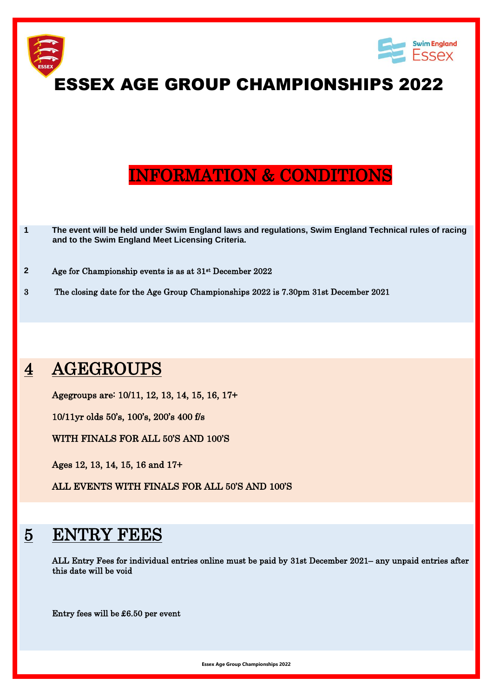

## 4 AGEGROUPS

Agegroups are: 10/11, 12, 13, 14, 15, 16, 17+

10/11yr olds 50's, 100's, 200's 400 f/s

WITH FINALS FOR ALL 50'S AND 100'S

Ages 12, 13, 14, 15, 16 and 17+

ALL EVENTS WITH FINALS FOR ALL 50'S AND 100'S

## 5 ENTRY FEES

ALL Entry Fees for individual entries online must be paid by 31st December 2021– any unpaid entries after this date will be void

Entry fees will be £6.50 per event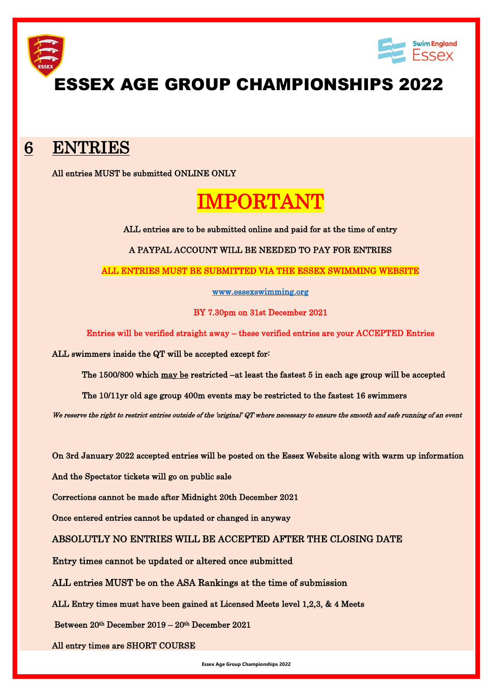

### 6 ENTRIES

All entries MUST be submitted ONLINE ONLY

# IMPORTANT

ALL entries are to be submitted online and paid for at the time of entry

A PAYPAL ACCOUNT WILL BE NEEDED TO PAY FOR ENTRIES

ALL ENTRIES MUST BE SUBMITTED VIA THE ESSEX SWIMMING WEBSITE

[www.essexswimming.org](http://www.essexswimming.org/) 

BY 7.30pm on 31st December 2021

Entries will be verified straight away – these verified entries are your ACCEPTED Entries

ALL swimmers inside the QT will be accepted except for:

The 1500/800 which may be restricted –at least the fastest 5 in each age group will be accepted

The 10/11yr old age group 400m events may be restricted to the fastest 16 swimmers

We reserve the right to restrict entries outside of the 'original' QT where necessary to ensure the smooth and safe running of an event

On 3rd January 2022 accepted entries will be posted on the Essex Website along with warm up information

And the Spectator tickets will go on public sale

Corrections cannot be made after Midnight 20th December 2021

Once entered entries cannot be updated or changed in anyway

ABSOLUTLY NO ENTRIES WILL BE ACCEPTED AFTER THE CLOSING DATE

Entry times cannot be updated or altered once submitted

ALL entries MUST be on the ASA Rankings at the time of submission

ALL Entry times must have been gained at Licensed Meets level 1,2,3, & 4 Meets

Between 20th December 2019 – 20th December 2021

All entry times are SHORT COURSE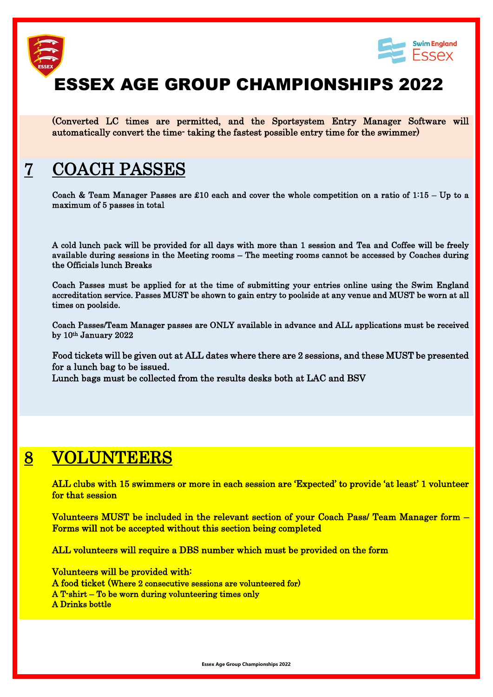



(Converted LC times are permitted, and the Sportsystem Entry Manager Software will automatically convert the time- taking the fastest possible entry time for the swimmer)

### 7 COACH PASSES

Coach & Team Manager Passes are £10 each and cover the whole competition on a ratio of  $1:15 - Up$  to a maximum of 5 passes in total

A cold lunch pack will be provided for all days with more than 1 session and Tea and Coffee will be freely available during sessions in the Meeting rooms – The meeting rooms cannot be accessed by Coaches during the Officials lunch Breaks

Coach Passes must be applied for at the time of submitting your entries online using the Swim England accreditation service. Passes MUST be shown to gain entry to poolside at any venue and MUST be worn at all times on poolside.

Coach Passes/Team Manager passes are ONLY available in advance and ALL applications must be received by 10th January 2022

 Food tickets will be given out at ALL dates where there are 2 sessions, and these MUST be presented for a lunch bag to be issued.

Lunch bags must be collected from the results desks both at LAC and BSV

### 8 VOLUNTEERS

 ALL clubs with 15 swimmers or more in each session are 'Expected' to provide 'at least' 1 volunteer for that session

 Volunteers MUST be included in the relevant section of your Coach Pass/ Team Manager form – Forms will not be accepted without this section being completed

ALL volunteers will require a DBS number which must be provided on the form

 Volunteers will be provided with: A food ticket (Where 2 consecutive sessions are volunteered for) A T-shirt – To be worn during volunteering times only A Drinks bottle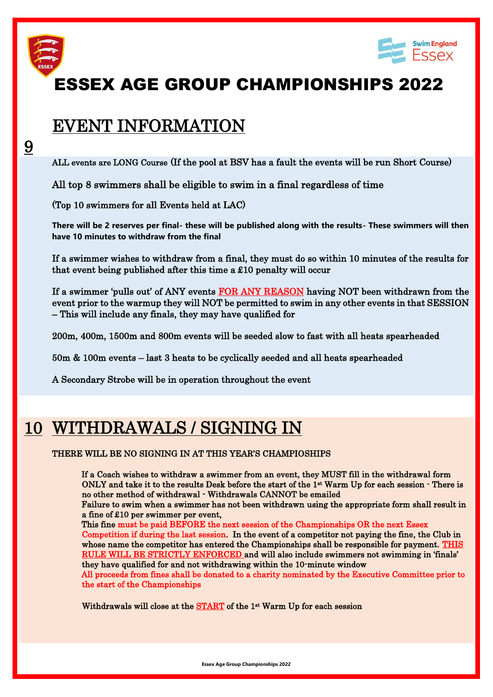

9



# ESSEX AGE GROUP CHAMPIONSHIPS 2022

### EVENT INFORMATION

ALL events are LONG Course (If the pool at BSV has a fault the events will be run Short Course)

All top 8 swimmers shall be eligible to swim in a final regardless of time

(Top 10 swimmers for all Events held at LAC)

**There will be 2 reserves per final- these will be published along with the results- These swimmers will then have 10 minutes to withdraw from the final**

 If a swimmer wishes to withdraw from a final, they must do so within 10 minutes of the results for that event being published after this time a £10 penalty will occur

If a swimmer 'pulls out' of ANY events FOR ANY REASON having NOT been withdrawn from the event prior to the warmup they will NOT be permitted to swim in any other events in that SESSION – This will include any finals, they may have qualified for

200m, 400m, 1500m and 800m events will be seeded slow to fast with all heats spearheaded

50m & 100m events – last 3 heats to be cyclically seeded and all heats spearheaded

A Secondary Strobe will be in operation throughout the event

## 10 WITHDRAWALS / SIGNING IN

#### THERE WILL BE NO SIGNING IN AT THIS YEAR'S CHAMPIOSHIPS

 If a Coach wishes to withdraw a swimmer from an event, they MUST fill in the withdrawal form ONLY and take it to the results Desk before the start of the 1<sup>st</sup> Warm Up for each session - There is no other method of withdrawal - Withdrawals CANNOT be emailed

Failure to swim when a swimmer has not been withdrawn using the appropriate form shall result in a fine of £10 per swimmer per event,

This fine must be paid BEFORE the next session of the Championships OR the next Essex

Competition if during the last session. In the event of a competitor not paying the fine, the Club in whose name the competitor has entered the Championships shall be responsible for payment. THIS RULE WILL BE STRICTLY ENFORCED and will also include swimmers not swimming in 'finals' they have qualified for and not withdrawing within the 10-minute window

All proceeds from fines shall be donated to a charity nominated by the Executive Committee prior to the start of the Championships

Withdrawals will close at the  $START$  of the  $1<sup>st</sup> Warm Up for each session$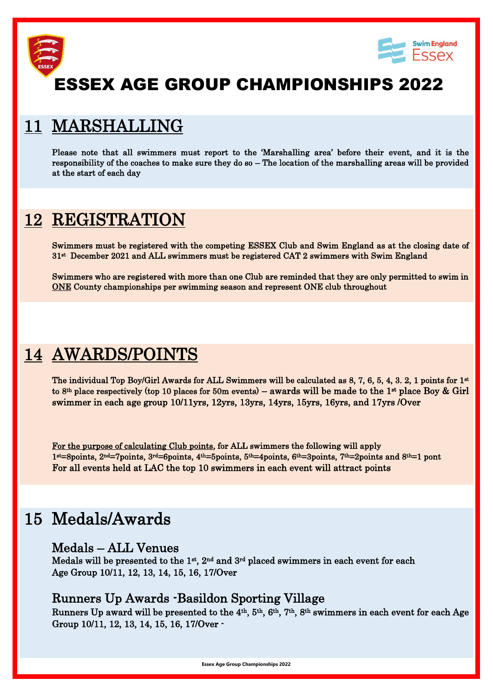



### 11 MARSHALLING

 Please note that all swimmers must report to the 'Marshalling area' before their event, and it is the responsibility of the coaches to make sure they do so – The location of the marshalling areas will be provided at the start of each day

### 12 REGISTRATION

 Swimmers must be registered with the competing ESSEX Club and Swim England as at the closing date of 31<sup>st</sup> December 2021 and ALL swimmers must be registered CAT 2 swimmers with Swim England

 Swimmers who are registered with more than one Club are reminded that they are only permitted to swim in ONE County championships per swimming season and represent ONE club throughout

### 14 AWARDS/POINTS

The individual Top Boy/Girl Awards for ALL Swimmers will be calculated as  $8, 7, 6, 5, 4, 3, 2, 1$  points for  $1<sup>st</sup>$ to 8<sup>th</sup> place respectively (top 10 places for 50m events) – awards will be made to the 1<sup>st</sup> place Boy & Girl swimmer in each age group 10/11yrs, 12yrs, 13yrs, 14yrs, 15yrs, 16yrs, and 17yrs /Over

 For the purpose of calculating Club points, for ALL swimmers the following will apply 1st=8points, 2nd=7points, 3rd=6points, 4th=5points, 5th=4points, 6th=3points, 7th=2points and 8th=1 pont For all events held at LAC the top 10 swimmers in each event will attract points

### 15 Medals/Awards

### Medals – ALL Venues

Medals will be presented to the  $1^{st}$ ,  $2^{nd}$  and  $3^{rd}$  placed swimmers in each event for each Age Group 10/11, 12, 13, 14, 15, 16, 17/Over

### Runners Up Awards -Basildon Sporting Village

 Runners Up award will be presented to the 4th, 5th, 6th, 7th, 8th swimmers in each event for each Age Group 10/11, 12, 13, 14, 15, 16, 17/Over -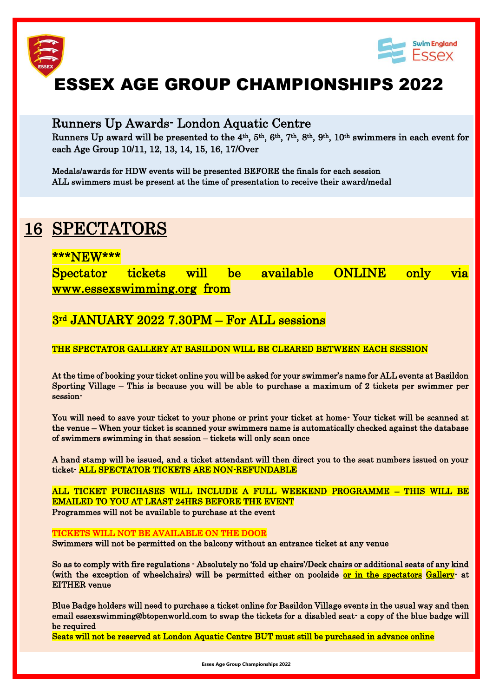



### Runners Up Awards- London Aquatic Centre

 Runners Up award will be presented to the 4th, 5th, 6th, 7th, 8th, 9th, 10th swimmers in each event for each Age Group 10/11, 12, 13, 14, 15, 16, 17/Over

Medals/awards for HDW events will be presented BEFORE the finals for each session ALL swimmers must be present at the time of presentation to receive their award/medal

### 16 SPECTATORS

### \*\*\*NEW\*\*\*

Spectator tickets will be available ONLINE only via [www.essexswimming.org](http://www.essexswimming.org/) from

### 3rd JANUARY 2022 7.30PM – For ALL sessions

#### THE SPECTATOR GALLERY AT BASILDON WILL BE CLEARED BETWEEN EACH SESSION

At the time of booking your ticket online you will be asked for your swimmer's name for ALL events at Basildon Sporting Village – This is because you will be able to purchase a maximum of 2 tickets per swimmer per session-

You will need to save your ticket to your phone or print your ticket at home- Your ticket will be scanned at the venue – When your ticket is scanned your swimmers name is automatically checked against the database of swimmers swimming in that session – tickets will only scan once

A hand stamp will be issued, and a ticket attendant will then direct you to the seat numbers issued on your ticket- ALL SPECTATOR TICKETS ARE NON-REFUNDABLE

ALL TICKET PURCHASES WILL INCLUDE A FULL WEEKEND PROGRAMME – THIS WILL BE EMAILED TO YOU AT LEAST 24HRS BEFORE THE EVENT Programmes will not be available to purchase at the event

#### TICKETS WILL NOT BE AVAILABLE ON THE DOOR

Swimmers will not be permitted on the balcony without an entrance ticket at any venue

 So as to comply with fire regulations - Absolutely no 'fold up chairs'/Deck chairs or additional seats of any kind (with the exception of wheelchairs) will be permitted either on poolside or in the spectators Gallery- at EITHER venue

 Blue Badge holders will need to purchase a ticket online for Basildon Village events in the usual way and then email essexswimming@btopenworld.com to swap the tickets for a disabled seat- a copy of the blue badge will be required

Seats will not be reserved at London Aquatic Centre BUT must still be purchased in advance online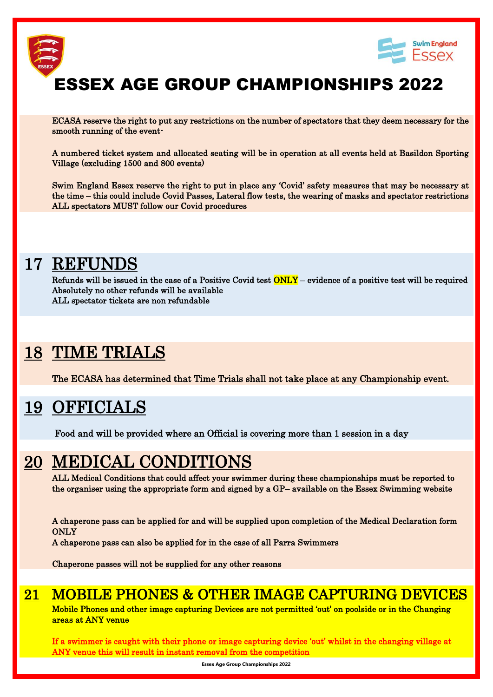



 ECASA reserve the right to put any restrictions on the number of spectators that they deem necessary for the smooth running of the event-

A numbered ticket system and allocated seating will be in operation at all events held at Basildon Sporting Village (excluding 1500 and 800 events)

Swim England Essex reserve the right to put in place any 'Covid' safety measures that may be necessary at the time – this could include Covid Passes, Lateral flow tests, the wearing of masks and spectator restrictions ALL spectators MUST follow our Covid procedures

### 17 REFUNDS

Refunds will be issued in the case of a Positive Covid test  $\overline{ONLY}$  – evidence of a positive test will be required Absolutely no other refunds will be available ALL spectator tickets are non refundable

## 18 TIME TRIALS

The ECASA has determined that Time Trials shall not take place at any Championship event.

### 19 OFFICIALS

Food and will be provided where an Official is covering more than 1 session in a day

### 20 MEDICAL CONDITIONS

ALL Medical Conditions that could affect your swimmer during these championships must be reported to the organiser using the appropriate form and signed by a GP– available on the Essex Swimming website

A chaperone pass can be applied for and will be supplied upon completion of the Medical Declaration form ONLY

A chaperone pass can also be applied for in the case of all Parra Swimmers

Chaperone passes will not be supplied for any other reasons

### 21 MOBILE PHONES & OTHER IMAGE CAPTURING DEVICES

 Mobile Phones and other image capturing Devices are not permitted 'out' on poolside or in the Changing areas at ANY venue

If a swimmer is caught with their phone or image capturing device 'out' whilst in the changing village at ANY venue this will result in instant removal from the competition

**Essex Age Group Championships 2022**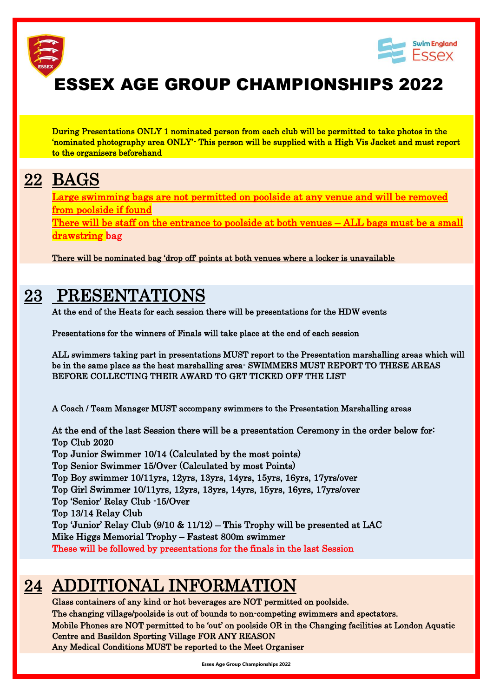

During Presentations ONLY 1 nominated person from each club will be permitted to take photos in the 'nominated photography area ONLY'- This person will be supplied with a High Vis Jacket and must report to the organisers beforehand

## 22 BAGS

 Large swimming bags are not permitted on poolside at any venue and will be removed from poolside if found

There will be staff on the entrance to poolside at both venues – ALL bags must be a small drawstring bag

There will be nominated bag 'drop off' points at both venues where a locker is unavailable

### 23 PRESENTATIONS

At the end of the Heats for each session there will be presentations for the HDW events

Presentations for the winners of Finals will take place at the end of each session

ALL swimmers taking part in presentations MUST report to the Presentation marshalling areas which will be in the same place as the heat marshalling area- SWIMMERS MUST REPORT TO THESE AREAS BEFORE COLLECTING THEIR AWARD TO GET TICKED OFF THE LIST

A Coach / Team Manager MUST accompany swimmers to the Presentation Marshalling areas

 At the end of the last Session there will be a presentation Ceremony in the order below for: Top Club 2020 Top Junior Swimmer 10/14 (Calculated by the most points) Top Senior Swimmer 15/Over (Calculated by most Points) Top Boy swimmer 10/11yrs, 12yrs, 13yrs, 14yrs, 15yrs, 16yrs, 17yrs/over Top Girl Swimmer 10/11yrs, 12yrs, 13yrs, 14yrs, 15yrs, 16yrs, 17yrs/over Top 'Senior' Relay Club -15/Over Top 13/14 Relay Club Top 'Junior' Relay Club (9/10 & 11/12) – This Trophy will be presented at LAC Mike Higgs Memorial Trophy – Fastest 800m swimmer These will be followed by presentations for the finals in the last Session

### 24 ADDITIONAL INFORMATION

 Glass containers of any kind or hot beverages are NOT permitted on poolside. The changing village/poolside is out of bounds to non-competing swimmers and spectators. Mobile Phones are NOT permitted to be 'out' on poolside OR in the Changing facilities at London Aquatic Centre and Basildon Sporting Village FOR ANY REASON Any Medical Conditions MUST be reported to the Meet Organiser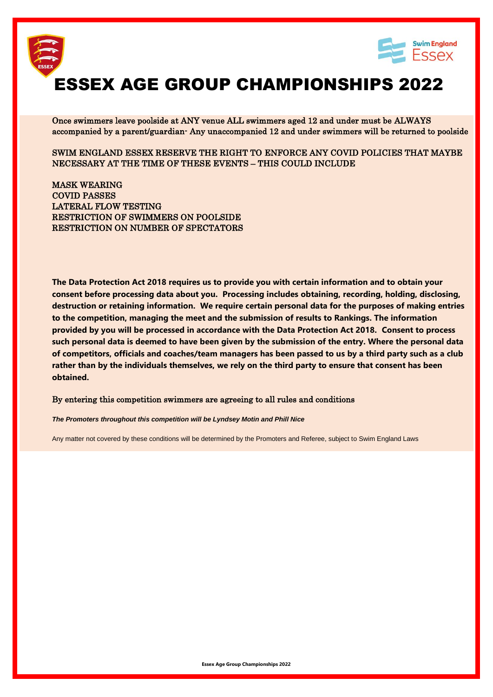



 Once swimmers leave poolside at ANY venue ALL swimmers aged 12 and under must be ALWAYS accompanied by a parent/guardian- Any unaccompanied 12 and under swimmers will be returned to poolside

SWIM ENGLAND ESSEX RESERVE THE RIGHT TO ENFORCE ANY COVID POLICIES THAT MAYBE NECESSARY AT THE TIME OF THESE EVENTS – THIS COULD INCLUDE

MASK WEARING COVID PASSES LATERAL FLOW TESTING RESTRICTION OF SWIMMERS ON POOLSIDE RESTRICTION ON NUMBER OF SPECTATORS

**The Data Protection Act 2018 requires us to provide you with certain information and to obtain your consent before processing data about you. Processing includes obtaining, recording, holding, disclosing, destruction or retaining information. We require certain personal data for the purposes of making entries to the competition, managing the meet and the submission of results to Rankings. The information provided by you will be processed in accordance with the Data Protection Act 2018. Consent to process such personal data is deemed to have been given by the submission of the entry. Where the personal data of competitors, officials and coaches/team managers has been passed to us by a third party such as a club rather than by the individuals themselves, we rely on the third party to ensure that consent has been obtained.**

#### By entering this competition swimmers are agreeing to all rules and conditions

*The Promoters throughout this competition will be Lyndsey Motin and Phill Nice*

Any matter not covered by these conditions will be determined by the Promoters and Referee, subject to Swim England Laws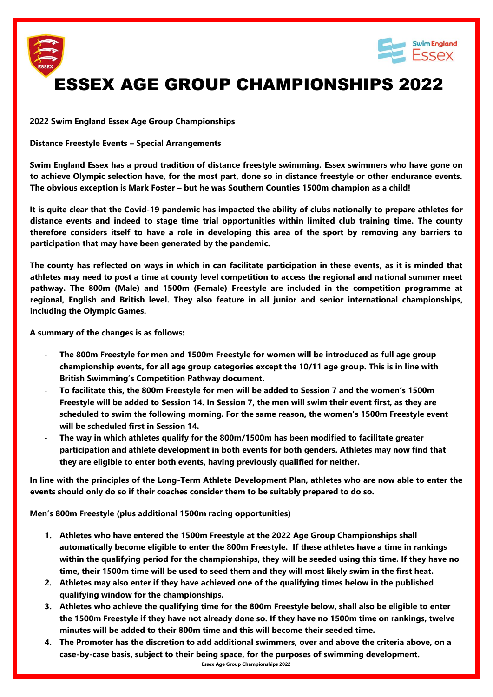



**2022 Swim England Essex Age Group Championships**

**Distance Freestyle Events – Special Arrangements**

**Swim England Essex has a proud tradition of distance freestyle swimming. Essex swimmers who have gone on to achieve Olympic selection have, for the most part, done so in distance freestyle or other endurance events. The obvious exception is Mark Foster – but he was Southern Counties 1500m champion as a child!**

**It is quite clear that the Covid-19 pandemic has impacted the ability of clubs nationally to prepare athletes for distance events and indeed to stage time trial opportunities within limited club training time. The county therefore considers itself to have a role in developing this area of the sport by removing any barriers to participation that may have been generated by the pandemic.** 

**The county has reflected on ways in which in can facilitate participation in these events, as it is minded that athletes may need to post a time at county level competition to access the regional and national summer meet pathway. The 800m (Male) and 1500m (Female) Freestyle are included in the competition programme at regional, English and British level. They also feature in all junior and senior international championships, including the Olympic Games.**

**A summary of the changes is as follows:**

- **The 800m Freestyle for men and 1500m Freestyle for women will be introduced as full age group championship events, for all age group categories except the 10/11 age group. This is in line with British Swimming's Competition Pathway document.**
- **To facilitate this, the 800m Freestyle for men will be added to Session 7 and the women's 1500m Freestyle will be added to Session 14. In Session 7, the men will swim their event first, as they are scheduled to swim the following morning. For the same reason, the women's 1500m Freestyle event will be scheduled first in Session 14.**
- **The way in which athletes qualify for the 800m/1500m has been modified to facilitate greater participation and athlete development in both events for both genders. Athletes may now find that they are eligible to enter both events, having previously qualified for neither.**

**In line with the principles of the Long-Term Athlete Development Plan, athletes who are now able to enter the events should only do so if their coaches consider them to be suitably prepared to do so.**

**Men's 800m Freestyle (plus additional 1500m racing opportunities)**

- **1. Athletes who have entered the 1500m Freestyle at the 2022 Age Group Championships shall automatically become eligible to enter the 800m Freestyle. If these athletes have a time in rankings within the qualifying period for the championships, they will be seeded using this time. If they have no time, their 1500m time will be used to seed them and they will most likely swim in the first heat.**
- **2. Athletes may also enter if they have achieved one of the qualifying times below in the published qualifying window for the championships.**
- **3. Athletes who achieve the qualifying time for the 800m Freestyle below, shall also be eligible to enter the 1500m Freestyle if they have not already done so. If they have no 1500m time on rankings, twelve minutes will be added to their 800m time and this will become their seeded time.**
- **Essex Age Group Championships 2022 4. The Promoter has the discretion to add additional swimmers, over and above the criteria above, on a case-by-case basis, subject to their being space, for the purposes of swimming development.**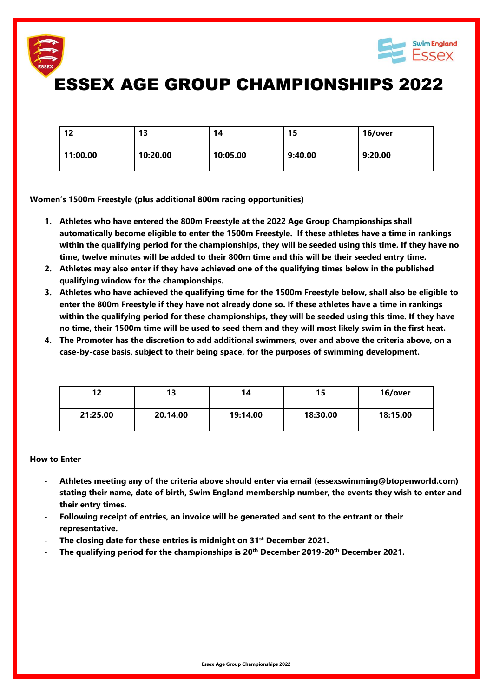



| 12       | 13       | 14       | 15      | 16/over |
|----------|----------|----------|---------|---------|
| 11:00.00 | 10:20.00 | 10:05.00 | 9:40.00 | 9:20.00 |

**Women's 1500m Freestyle (plus additional 800m racing opportunities)**

- **1. Athletes who have entered the 800m Freestyle at the 2022 Age Group Championships shall automatically become eligible to enter the 1500m Freestyle. If these athletes have a time in rankings within the qualifying period for the championships, they will be seeded using this time. If they have no time, twelve minutes will be added to their 800m time and this will be their seeded entry time.**
- **2. Athletes may also enter if they have achieved one of the qualifying times below in the published qualifying window for the championships.**
- **3. Athletes who have achieved the qualifying time for the 1500m Freestyle below, shall also be eligible to enter the 800m Freestyle if they have not already done so. If these athletes have a time in rankings within the qualifying period for these championships, they will be seeded using this time. If they have no time, their 1500m time will be used to seed them and they will most likely swim in the first heat.**
- **4. The Promoter has the discretion to add additional swimmers, over and above the criteria above, on a case-by-case basis, subject to their being space, for the purposes of swimming development.**

| 12       | 13       | 14       | 15       | 16/over  |
|----------|----------|----------|----------|----------|
| 21:25.00 | 20.14.00 | 19:14.00 | 18:30.00 | 18:15.00 |

#### **How to Enter**

- **Athletes meeting any of the criteria above should enter via email (essexswimming@btopenworld.com) stating their name, date of birth, Swim England membership number, the events they wish to enter and their entry times.**
- **Following receipt of entries, an invoice will be generated and sent to the entrant or their representative.**
- **The closing date for these entries is midnight on 31st December 2021.**
- **The qualifying period for the championships is 20th December 2019-20th December 2021.**